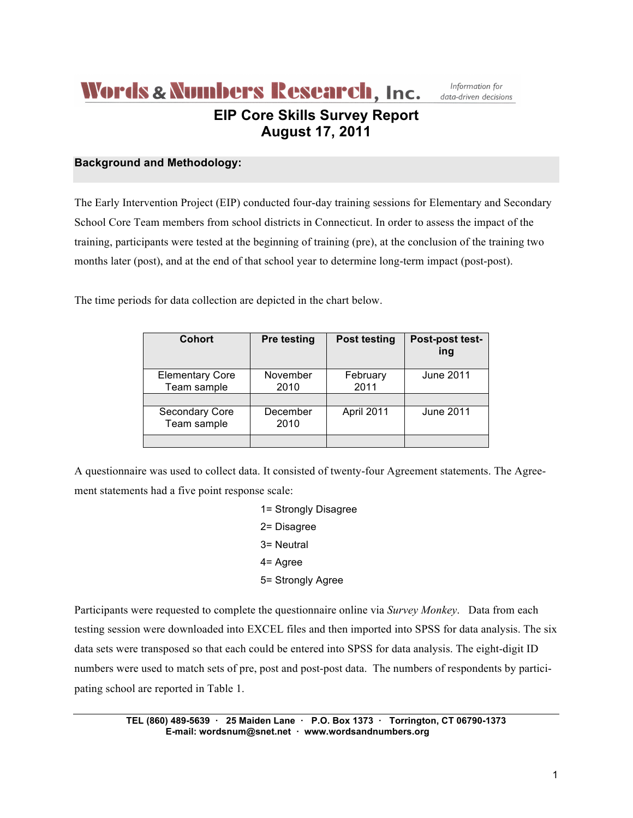## **Words & Numbers Research, Inc. EIP Core Skills Survey Report August 17, 2011**

Information for data-driven decisions

### **Background and Methodology:**

The Early Intervention Project (EIP) conducted four-day training sessions for Elementary and Secondary School Core Team members from school districts in Connecticut. In order to assess the impact of the training, participants were tested at the beginning of training (pre), at the conclusion of the training two months later (post), and at the end of that school year to determine long-term impact (post-post).

The time periods for data collection are depicted in the chart below.

| Cohort                                | <b>Pre testing</b> | <b>Post testing</b> | Post-post test-<br>ing |
|---------------------------------------|--------------------|---------------------|------------------------|
| <b>Elementary Core</b><br>Team sample | November<br>2010   | February<br>2011    | June 2011              |
|                                       |                    |                     |                        |
| <b>Secondary Core</b><br>Team sample  | December<br>2010   | April 2011          | June 2011              |
|                                       |                    |                     |                        |

A questionnaire was used to collect data. It consisted of twenty-four Agreement statements. The Agreement statements had a five point response scale:

> 1= Strongly Disagree 2= Disagree 3= Neutral 4= Agree 5= Strongly Agree

Participants were requested to complete the questionnaire online via *Survey Monkey*. Data from each testing session were downloaded into EXCEL files and then imported into SPSS for data analysis. The six data sets were transposed so that each could be entered into SPSS for data analysis. The eight-digit ID numbers were used to match sets of pre, post and post-post data. The numbers of respondents by participating school are reported in Table 1.

> **TEL (860) 489-5639 · 25 Maiden Lane · P.O. Box 1373 · Torrington, CT 06790-1373 E-mail: wordsnum@snet.net · www.wordsandnumbers.org**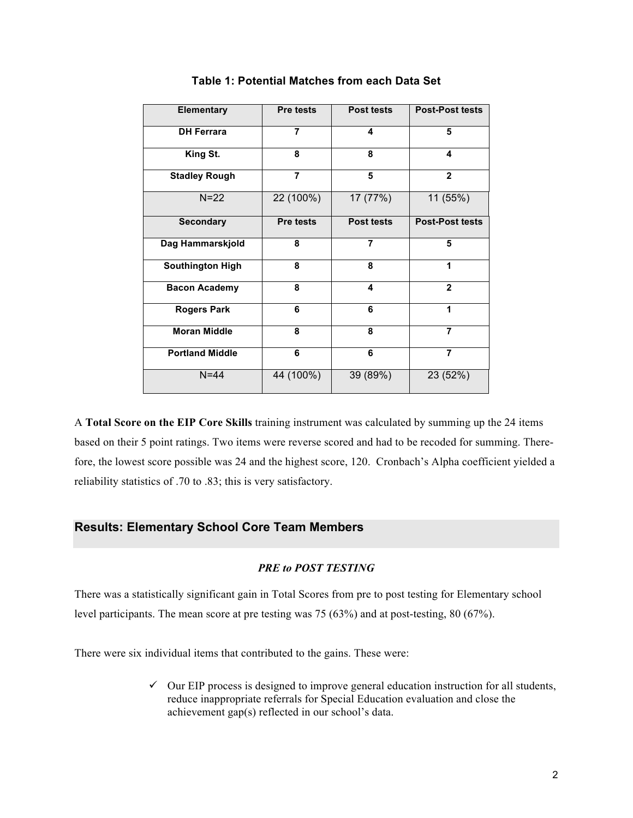| <b>Elementary</b>       | <b>Pre tests</b> | <b>Post tests</b> | <b>Post-Post tests</b> |
|-------------------------|------------------|-------------------|------------------------|
| <b>DH Ferrara</b>       | 7                | 4                 | 5                      |
| King St.                | 8                | 8                 | 4                      |
| <b>Stadley Rough</b>    | 7                | 5                 | $\mathbf{2}$           |
| $N=22$                  | 22 (100%)        | 17 (77%)          | 11 (55%)               |
| <b>Secondary</b>        | <b>Pre tests</b> | Post tests        | <b>Post-Post tests</b> |
| Dag Hammarskjold        | 8                | $\overline{7}$    | 5                      |
| <b>Southington High</b> | 8                | 8                 | 1                      |
| <b>Bacon Academy</b>    | 8                | 4                 | $\mathbf{2}$           |
| <b>Rogers Park</b>      | 6                | 6                 | 1                      |
| <b>Moran Middle</b>     | 8                | 8                 | $\overline{7}$         |
| <b>Portland Middle</b>  | 6                | 6                 | $\overline{7}$         |
| $N = 44$                | 44 (100%)        | 39 (89%)          | 23 (52%)               |

### **Table 1: Potential Matches from each Data Set**

A **Total Score on the EIP Core Skills** training instrument was calculated by summing up the 24 items based on their 5 point ratings. Two items were reverse scored and had to be recoded for summing. Therefore, the lowest score possible was 24 and the highest score, 120. Cronbach's Alpha coefficient yielded a reliability statistics of .70 to .83; this is very satisfactory.

### **Results: Elementary School Core Team Members**

### *PRE to POST TESTING*

There was a statistically significant gain in Total Scores from pre to post testing for Elementary school level participants. The mean score at pre testing was 75 (63%) and at post-testing, 80 (67%).

There were six individual items that contributed to the gains. These were:

 $\checkmark$  Our EIP process is designed to improve general education instruction for all students, reduce inappropriate referrals for Special Education evaluation and close the achievement gap(s) reflected in our school's data.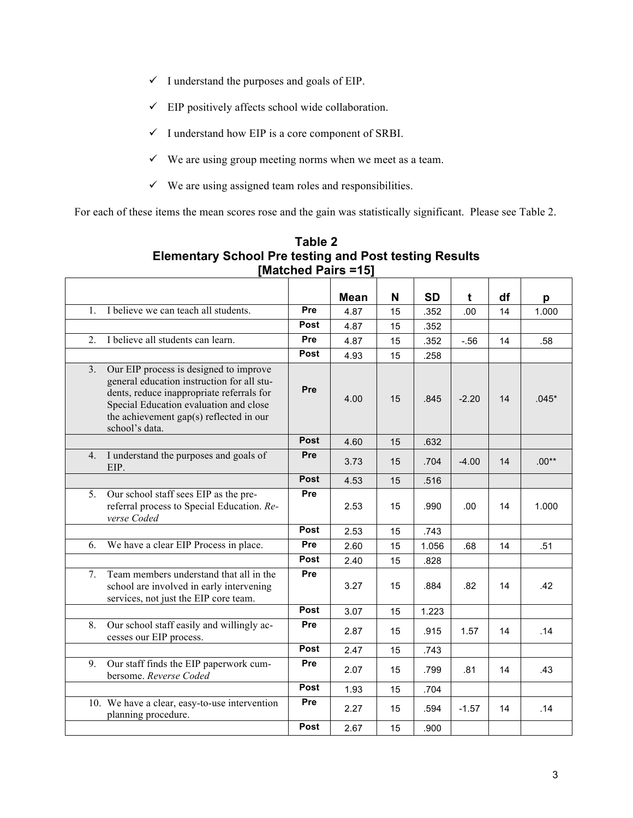- $\checkmark$  I understand the purposes and goals of EIP.
- $\checkmark$  EIP positively affects school wide collaboration.
- $\checkmark$  I understand how EIP is a core component of SRBI.
- $\checkmark$  We are using group meeting norms when we meet as a team.
- $\checkmark$  We are using assigned team roles and responsibilities.

For each of these items the mean scores rose and the gain was statistically significant. Please see Table 2.

| $\mathbf{1}$ . | I believe we can teach all students.                                                                                                                                                                                                     | Pre  | <b>Mean</b><br>4.87 | N<br>15 | <b>SD</b><br>.352 | t<br>.00 | df<br>14 | p<br>1.000 |
|----------------|------------------------------------------------------------------------------------------------------------------------------------------------------------------------------------------------------------------------------------------|------|---------------------|---------|-------------------|----------|----------|------------|
|                |                                                                                                                                                                                                                                          | Post |                     |         |                   |          |          |            |
|                | I believe all students can learn.                                                                                                                                                                                                        | Pre  | 4.87                | 15      | .352              |          |          |            |
| 2.             |                                                                                                                                                                                                                                          |      | 4.87                | 15      | .352              | $-56$    | 14       | .58        |
|                |                                                                                                                                                                                                                                          | Post | 4.93                | 15      | .258              |          |          |            |
| 3.             | Our EIP process is designed to improve<br>general education instruction for all stu-<br>dents, reduce inappropriate referrals for<br>Special Education evaluation and close<br>the achievement gap(s) reflected in our<br>school's data. | Pre  | 4.00                | 15      | .845              | $-2.20$  | 14       | $.045*$    |
|                |                                                                                                                                                                                                                                          | Post | 4.60                | 15      | .632              |          |          |            |
|                | 4. I understand the purposes and goals of<br>EIP.                                                                                                                                                                                        | Pre  | 3.73                | 15      | .704              | $-4.00$  | 14       | $.00**$    |
|                |                                                                                                                                                                                                                                          | Post | 4.53                | 15      | .516              |          |          |            |
| 5 <sub>1</sub> | Our school staff sees EIP as the pre-<br>referral process to Special Education. Re-<br>verse Coded                                                                                                                                       | Pre  | 2.53                | 15      | .990              | .00      | 14       | 1.000      |
|                |                                                                                                                                                                                                                                          | Post | 2.53                | 15      | .743              |          |          |            |
| 6.             | We have a clear EIP Process in place.                                                                                                                                                                                                    | Pre  | 2.60                | 15      | 1.056             | .68      | 14       | .51        |
|                |                                                                                                                                                                                                                                          | Post | 2.40                | 15      | .828              |          |          |            |
| 7 <sub>1</sub> | Team members understand that all in the<br>school are involved in early intervening<br>services, not just the EIP core team.                                                                                                             | Pre  | 3.27                | 15      | .884              | .82      | 14       | .42        |
|                |                                                                                                                                                                                                                                          | Post | 3.07                | 15      | 1.223             |          |          |            |
| 8.             | Our school staff easily and willingly ac-<br>cesses our EIP process.                                                                                                                                                                     | Pre  | 2.87                | 15      | .915              | 1.57     | 14       | .14        |
|                |                                                                                                                                                                                                                                          | Post | 2.47                | 15      | .743              |          |          |            |
| 9.             | Our staff finds the EIP paperwork cum-<br>bersome. Reverse Coded                                                                                                                                                                         | Pre  | 2.07                | 15      | .799              | .81      | 14       | .43        |
|                |                                                                                                                                                                                                                                          | Post | 1.93                | 15      | .704              |          |          |            |
|                | 10. We have a clear, easy-to-use intervention<br>planning procedure.                                                                                                                                                                     | Pre  | 2.27                | 15      | .594              | $-1.57$  | 14       | .14        |
|                |                                                                                                                                                                                                                                          | Post | 2.67                | 15      | .900              |          |          |            |

**Table 2 Elementary School Pre testing and Post testing Results [Matched Pairs =15]**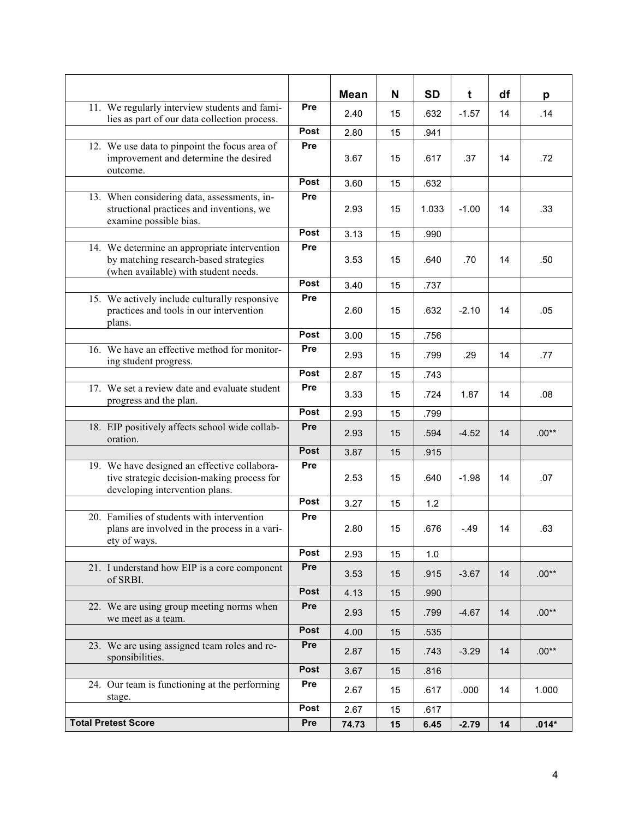|                                                                                                                               |             | <b>Mean</b>   | N        | <b>SD</b>    | t       | df | p       |
|-------------------------------------------------------------------------------------------------------------------------------|-------------|---------------|----------|--------------|---------|----|---------|
| 11. We regularly interview students and fami-<br>lies as part of our data collection process.                                 | Pre         | 2.40          | 15       | .632         | $-1.57$ | 14 | .14     |
|                                                                                                                               | Post        | 2.80          | 15       | .941         |         |    |         |
| 12. We use data to pinpoint the focus area of<br>improvement and determine the desired<br>outcome.                            | Pre         | 3.67          | 15       | .617         | .37     | 14 | .72     |
|                                                                                                                               | Post        | 3.60          | 15       | .632         |         |    |         |
| 13. When considering data, assessments, in-<br>structional practices and inventions, we<br>examine possible bias.             | Pre         | 2.93          | 15       | 1.033        | $-1.00$ | 14 | .33     |
|                                                                                                                               | Post        | 3.13          | 15       | .990         |         |    |         |
| 14. We determine an appropriate intervention<br>by matching research-based strategies<br>(when available) with student needs. | Pre         | 3.53          | 15       | .640         | .70     | 14 | .50     |
|                                                                                                                               | Post        | 3.40          | 15       | .737         |         |    |         |
| 15. We actively include culturally responsive<br>practices and tools in our intervention<br>plans.                            | Pre         | 2.60          | 15       | .632         | $-2.10$ | 14 | .05     |
|                                                                                                                               | Post        | 3.00          | 15       | .756         |         |    |         |
| 16. We have an effective method for monitor-<br>ing student progress.                                                         | Pre         | 2.93          | 15       | .799         | .29     | 14 | .77     |
|                                                                                                                               | Post        | 2.87          | 15       | .743         |         |    |         |
| 17. We set a review date and evaluate student<br>progress and the plan.                                                       | Pre         | 3.33          | 15       | .724         | 1.87    | 14 | .08     |
|                                                                                                                               | Post        | 2.93          | 15       | .799         |         |    |         |
| 18. EIP positively affects school wide collab-<br>oration.                                                                    | Pre         | 2.93          | 15       | .594         | $-4.52$ | 14 | $.00**$ |
|                                                                                                                               | Post        | 3.87          | 15       | .915         |         |    |         |
| 19. We have designed an effective collabora-<br>tive strategic decision-making process for<br>developing intervention plans.  | Pre         | 2.53          | 15       | .640         | $-1.98$ | 14 | .07     |
|                                                                                                                               | Post        | 3.27          | 15       | 1.2          |         |    |         |
| 20. Families of students with intervention<br>plans are involved in the process in a vari-<br>ety of ways.                    | Pre         | 2.80          | 15       | .676         | $-49$   | 14 | .63     |
|                                                                                                                               | Post        | 2.93          | 15       | 1.0          |         |    |         |
| 21. I understand how EIP is a core component<br>of SRBI.                                                                      | Pre         | 3.53          | 15       | .915         | $-3.67$ | 14 | $.00**$ |
|                                                                                                                               | Post        | 4.13          | 15       | .990         |         |    |         |
| 22. We are using group meeting norms when<br>we meet as a team.                                                               | Pre         | 2.93          | 15       | .799         | $-4.67$ | 14 | $.00**$ |
|                                                                                                                               | Post        | 4.00          | 15       | .535         |         |    |         |
| 23. We are using assigned team roles and re-<br>sponsibilities.                                                               | Pre         | 2.87          | 15       | .743         | $-3.29$ | 14 | $.00**$ |
|                                                                                                                               | Post        | 3.67          | 15       | .816         |         |    |         |
| 24. Our team is functioning at the performing<br>stage.                                                                       | Pre         | 2.67          | 15       | .617         | .000    | 14 | 1.000   |
| <b>Total Pretest Score</b>                                                                                                    | Post<br>Pre | 2.67<br>74.73 | 15<br>15 | .617<br>6.45 | $-2.79$ | 14 | $.014*$ |
|                                                                                                                               |             |               |          |              |         |    |         |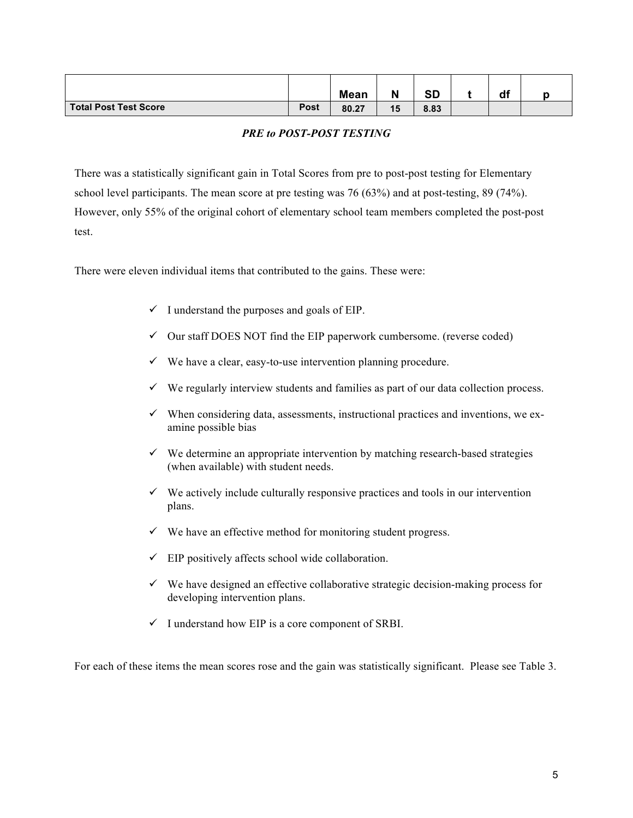|                       |             | <b>Mean</b> |    | <b>CD</b><br>שכ | df |  |
|-----------------------|-------------|-------------|----|-----------------|----|--|
| Total Post Test Score | <b>Post</b> | 80.27       | 15 | 8.83            |    |  |

### *PRE to POST-POST TESTING*

There was a statistically significant gain in Total Scores from pre to post-post testing for Elementary school level participants. The mean score at pre testing was 76 (63%) and at post-testing, 89 (74%). However, only 55% of the original cohort of elementary school team members completed the post-post test.

There were eleven individual items that contributed to the gains. These were:

- $\checkmark$  I understand the purposes and goals of EIP.
- $\checkmark$  Our staff DOES NOT find the EIP paperwork cumbersome. (reverse coded)
- $\checkmark$  We have a clear, easy-to-use intervention planning procedure.
- $\checkmark$  We regularly interview students and families as part of our data collection process.
- $\checkmark$  When considering data, assessments, instructional practices and inventions, we examine possible bias
- $\checkmark$  We determine an appropriate intervention by matching research-based strategies (when available) with student needs.
- $\checkmark$  We actively include culturally responsive practices and tools in our intervention plans.
- $\checkmark$  We have an effective method for monitoring student progress.
- $\checkmark$  EIP positively affects school wide collaboration.
- $\checkmark$  We have designed an effective collaborative strategic decision-making process for developing intervention plans.
- $\checkmark$  I understand how EIP is a core component of SRBI.

For each of these items the mean scores rose and the gain was statistically significant. Please see Table 3.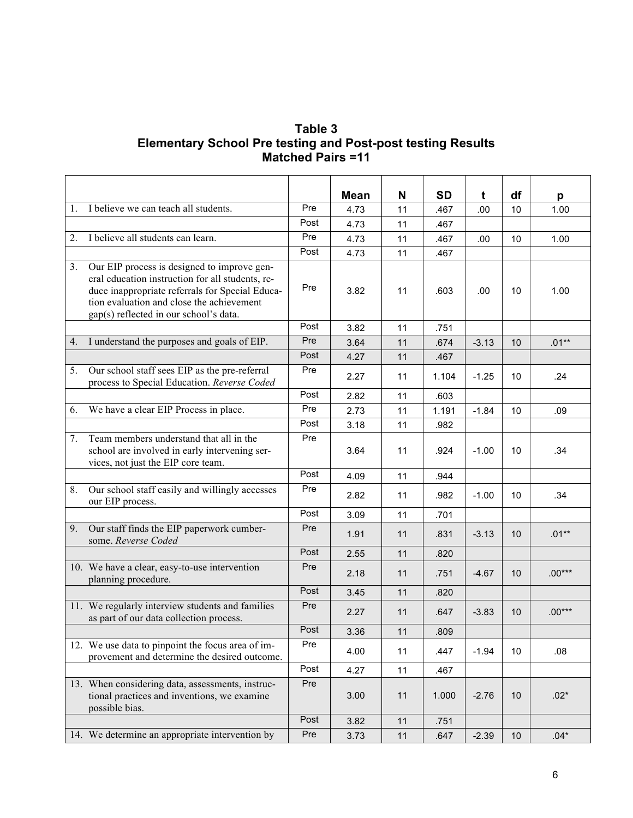### **Table 3 Elementary School Pre testing and Post-post testing Results Matched Pairs =11**

|    |                                                                                                                                                                                                                                           |      | <b>Mean</b> | N  | <b>SD</b> | t       | df   | p        |
|----|-------------------------------------------------------------------------------------------------------------------------------------------------------------------------------------------------------------------------------------------|------|-------------|----|-----------|---------|------|----------|
| 1. | I believe we can teach all students.                                                                                                                                                                                                      | Pre  | 4.73        | 11 | .467      | .00     | 10   | 1.00     |
|    |                                                                                                                                                                                                                                           | Post | 4.73        | 11 | .467      |         |      |          |
| 2. | I believe all students can learn.                                                                                                                                                                                                         | Pre  | 4.73        | 11 | .467      | .00     | 10   | 1.00     |
|    |                                                                                                                                                                                                                                           | Post | 4.73        | 11 | .467      |         |      |          |
| 3. | Our EIP process is designed to improve gen-<br>eral education instruction for all students, re-<br>duce inappropriate referrals for Special Educa-<br>tion evaluation and close the achievement<br>gap(s) reflected in our school's data. | Pre  | 3.82        | 11 | .603      | .00     | 10   | 1.00     |
|    |                                                                                                                                                                                                                                           | Post | 3.82        | 11 | .751      |         |      |          |
|    | 4. I understand the purposes and goals of EIP.                                                                                                                                                                                            | Pre  | 3.64        | 11 | .674      | $-3.13$ | 10   | $.01**$  |
|    |                                                                                                                                                                                                                                           | Post | 4.27        | 11 | .467      |         |      |          |
| 5. | Our school staff sees EIP as the pre-referral<br>process to Special Education. Reverse Coded                                                                                                                                              | Pre  | 2.27        | 11 | 1.104     | $-1.25$ | 10   | .24      |
|    |                                                                                                                                                                                                                                           | Post | 2.82        | 11 | .603      |         |      |          |
| 6. | We have a clear EIP Process in place.                                                                                                                                                                                                     | Pre  | 2.73        | 11 | 1.191     | $-1.84$ | 10   | .09      |
|    |                                                                                                                                                                                                                                           | Post | 3.18        | 11 | .982      |         |      |          |
| 7. | Team members understand that all in the<br>school are involved in early intervening ser-<br>vices, not just the EIP core team.                                                                                                            | Pre  | 3.64        | 11 | .924      | $-1.00$ | 10   | .34      |
|    |                                                                                                                                                                                                                                           | Post | 4.09        | 11 | .944      |         |      |          |
| 8. | Our school staff easily and willingly accesses<br>our EIP process.                                                                                                                                                                        | Pre  | 2.82        | 11 | .982      | $-1.00$ | 10   | .34      |
|    |                                                                                                                                                                                                                                           | Post | 3.09        | 11 | .701      |         |      |          |
| 9. | Our staff finds the EIP paperwork cumber-<br>some. Reverse Coded                                                                                                                                                                          | Pre  | 1.91        | 11 | .831      | $-3.13$ | 10   | $.01**$  |
|    |                                                                                                                                                                                                                                           | Post | 2.55        | 11 | .820      |         |      |          |
|    | 10. We have a clear, easy-to-use intervention<br>planning procedure.                                                                                                                                                                      | Pre  | 2.18        | 11 | .751      | $-4.67$ | 10   | $.00***$ |
|    |                                                                                                                                                                                                                                           | Post | 3.45        | 11 | .820      |         |      |          |
|    | 11. We regularly interview students and families<br>as part of our data collection process.                                                                                                                                               | Pre  | 2.27        | 11 | .647      | $-3.83$ | 10   | $.00***$ |
|    |                                                                                                                                                                                                                                           | Post | 3.36        | 11 | .809      |         |      |          |
|    | 12. We use data to pinpoint the focus area of im-<br>provement and determine the desired outcome.                                                                                                                                         | Pre  | 4.00        | 11 | .447      | $-1.94$ | 10   | .08      |
|    |                                                                                                                                                                                                                                           | Post | 4.27        | 11 | .467      |         |      |          |
|    | 13. When considering data, assessments, instruc-<br>tional practices and inventions, we examine<br>possible bias.                                                                                                                         | Pre  | 3.00        | 11 | 1.000     | $-2.76$ | 10   | $.02*$   |
|    |                                                                                                                                                                                                                                           | Post | 3.82        | 11 | .751      |         |      |          |
|    | 14. We determine an appropriate intervention by                                                                                                                                                                                           | Pre  | 3.73        | 11 | .647      | $-2.39$ | $10$ | $.04*$   |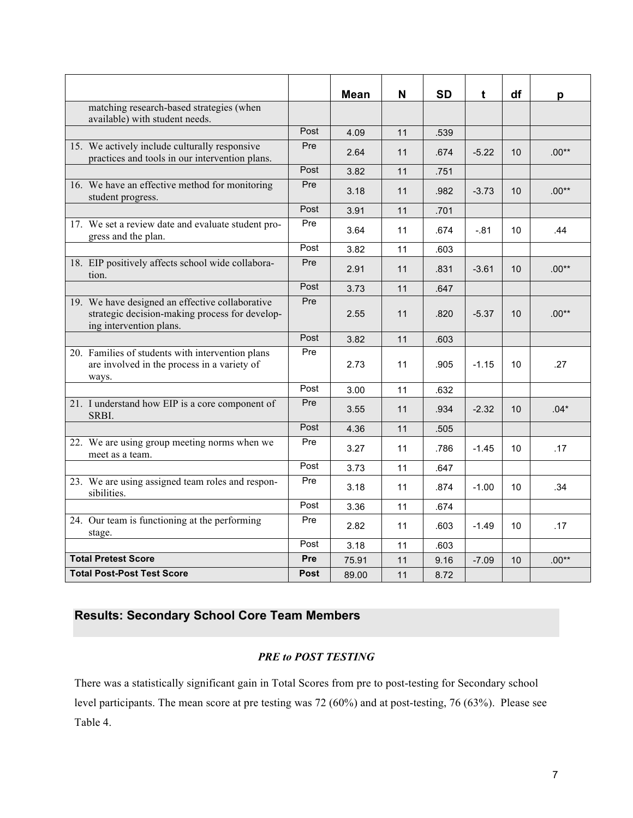|                                                                                                                              |             | <b>Mean</b> | N  | <b>SD</b> | t       | df              |         |
|------------------------------------------------------------------------------------------------------------------------------|-------------|-------------|----|-----------|---------|-----------------|---------|
| matching research-based strategies (when                                                                                     |             |             |    |           |         |                 | p       |
| available) with student needs.                                                                                               |             |             |    |           |         |                 |         |
|                                                                                                                              | Post        | 4.09        | 11 | .539      |         |                 |         |
| 15. We actively include culturally responsive<br>practices and tools in our intervention plans.                              | Pre         | 2.64        | 11 | .674      | $-5.22$ | 10              | $.00**$ |
|                                                                                                                              | Post        | 3.82        | 11 | .751      |         |                 |         |
| 16. We have an effective method for monitoring<br>student progress.                                                          | Pre         | 3.18        | 11 | .982      | $-3.73$ | 10 <sup>°</sup> | $.00**$ |
|                                                                                                                              | Post        | 3.91        | 11 | .701      |         |                 |         |
| 17. We set a review date and evaluate student pro-<br>gress and the plan.                                                    | Pre         | 3.64        | 11 | .674      | $-.81$  | 10              | .44     |
|                                                                                                                              | Post        | 3.82        | 11 | .603      |         |                 |         |
| 18. EIP positively affects school wide collabora-<br>tion.                                                                   | Pre         | 2.91        | 11 | .831      | $-3.61$ | 10              | $.00**$ |
|                                                                                                                              | Post        | 3.73        | 11 | .647      |         |                 |         |
| 19. We have designed an effective collaborative<br>strategic decision-making process for develop-<br>ing intervention plans. | Pre         | 2.55        | 11 | .820      | $-5.37$ | 10              | $.00**$ |
|                                                                                                                              | Post        | 3.82        | 11 | .603      |         |                 |         |
| 20. Families of students with intervention plans<br>are involved in the process in a variety of<br>ways.                     | Pre         | 2.73        | 11 | .905      | $-1.15$ | 10              | .27     |
|                                                                                                                              | Post        | 3.00        | 11 | .632      |         |                 |         |
| 21. I understand how EIP is a core component of<br>SRBI.                                                                     | Pre         | 3.55        | 11 | .934      | $-2.32$ | 10              | $.04*$  |
|                                                                                                                              | Post        | 4.36        | 11 | .505      |         |                 |         |
| 22. We are using group meeting norms when we<br>meet as a team.                                                              | Pre         | 3.27        | 11 | .786      | $-1.45$ | 10 <sup>°</sup> | .17     |
|                                                                                                                              | Post        | 3.73        | 11 | .647      |         |                 |         |
| 23. We are using assigned team roles and respon-<br>sibilities.                                                              | Pre         | 3.18        | 11 | .874      | $-1.00$ | 10              | .34     |
|                                                                                                                              | Post        | 3.36        | 11 | .674      |         |                 |         |
| 24. Our team is functioning at the performing<br>stage.                                                                      | Pre         | 2.82        | 11 | .603      | $-1.49$ | 10              | .17     |
|                                                                                                                              | Post        | 3.18        | 11 | .603      |         |                 |         |
| <b>Total Pretest Score</b>                                                                                                   | Pre         | 75.91       | 11 | 9.16      | $-7.09$ | 10              | $.00**$ |
| <b>Total Post-Post Test Score</b>                                                                                            | <b>Post</b> | 89.00       | 11 | 8.72      |         |                 |         |

## **Results: Secondary School Core Team Members**

### *PRE to POST TESTING*

There was a statistically significant gain in Total Scores from pre to post-testing for Secondary school level participants. The mean score at pre testing was 72 (60%) and at post-testing, 76 (63%). Please see Table 4.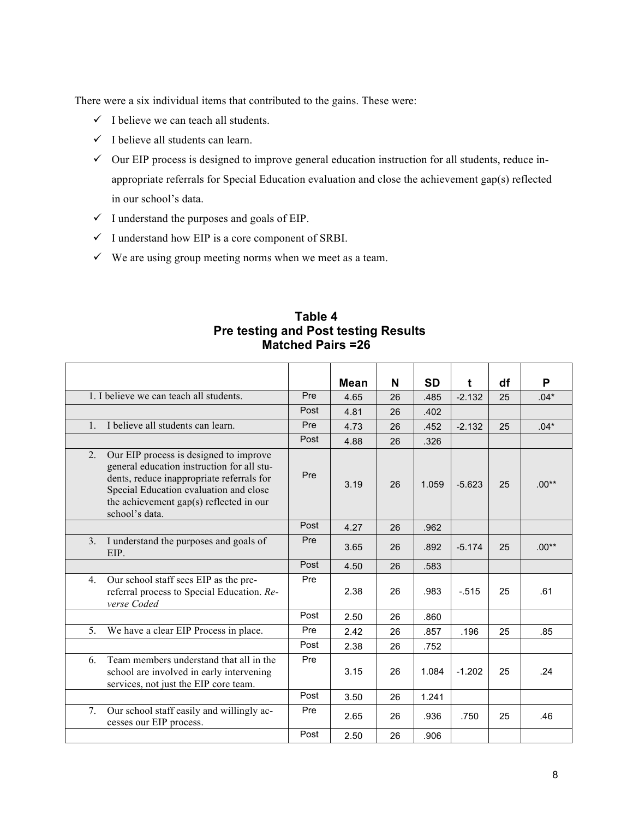There were a six individual items that contributed to the gains. These were:

 $\checkmark$  I believe we can teach all students.

7. Our school staff easily and willingly ac-

cesses our EIP process.

- $\checkmark$  I believe all students can learn.
- $\checkmark$  Our EIP process is designed to improve general education instruction for all students, reduce inappropriate referrals for Special Education evaluation and close the achievement gap(s) reflected in our school's data.
- $\checkmark$  I understand the purposes and goals of EIP.
- $\checkmark$  I understand how EIP is a core component of SRBI.
- $\checkmark$  We are using group meeting norms when we meet as a team.

|                |                                                                                                                                                                                                                                          |            | <b>Matched Pairs =26</b> |    |       |          |    |         |
|----------------|------------------------------------------------------------------------------------------------------------------------------------------------------------------------------------------------------------------------------------------|------------|--------------------------|----|-------|----------|----|---------|
|                |                                                                                                                                                                                                                                          |            | <b>Mean</b>              | N  | SD    | t        | df | P       |
|                | 1. I believe we can teach all students.                                                                                                                                                                                                  | <b>Pre</b> | 4.65                     | 26 | .485  | $-2.132$ | 25 | $.04*$  |
|                |                                                                                                                                                                                                                                          | Post       | 4.81                     | 26 | .402  |          |    |         |
| $1_{-}$        | I believe all students can learn.                                                                                                                                                                                                        | Pre        | 4.73                     | 26 | .452  | $-2.132$ | 25 | $.04*$  |
|                |                                                                                                                                                                                                                                          | Post       | 4.88                     | 26 | .326  |          |    |         |
| 2.             | Our EIP process is designed to improve<br>general education instruction for all stu-<br>dents, reduce inappropriate referrals for<br>Special Education evaluation and close<br>the achievement gap(s) reflected in our<br>school's data. | Pre        | 3.19                     | 26 | 1.059 | $-5.623$ | 25 | $.00**$ |
|                |                                                                                                                                                                                                                                          | Post       | 4.27                     | 26 | .962  |          |    |         |
| 3 <sub>1</sub> | I understand the purposes and goals of<br>EIP.                                                                                                                                                                                           | Pre        | 3.65                     | 26 | .892  | $-5.174$ | 25 | $.00**$ |
|                |                                                                                                                                                                                                                                          | Post       | 4.50                     | 26 | .583  |          |    |         |
| 4.             | Our school staff sees EIP as the pre-<br>referral process to Special Education. Re-<br>verse Coded                                                                                                                                       | Pre        | 2.38                     | 26 | .983  | $-515$   | 25 | .61     |
|                |                                                                                                                                                                                                                                          | Post       | 2.50                     | 26 | .860  |          |    |         |
| 5 <sub>1</sub> | We have a clear EIP Process in place.                                                                                                                                                                                                    | Pre        | 2.42                     | 26 | .857  | .196     | 25 | .85     |
|                |                                                                                                                                                                                                                                          | Post       | 2.38                     | 26 | .752  |          |    |         |
| 6.             | Team members understand that all in the<br>school are involved in early intervening<br>services, not just the EIP core team.                                                                                                             | Pre        | 3.15                     | 26 | 1.084 | $-1.202$ | 25 | .24     |

Post 3.50 26 1.241

Post 2.50 26 .906

Pre | 2.65 | 26 | .936 | .750 | 25 | .46

# **Table 4 Pre testing and Post testing Results**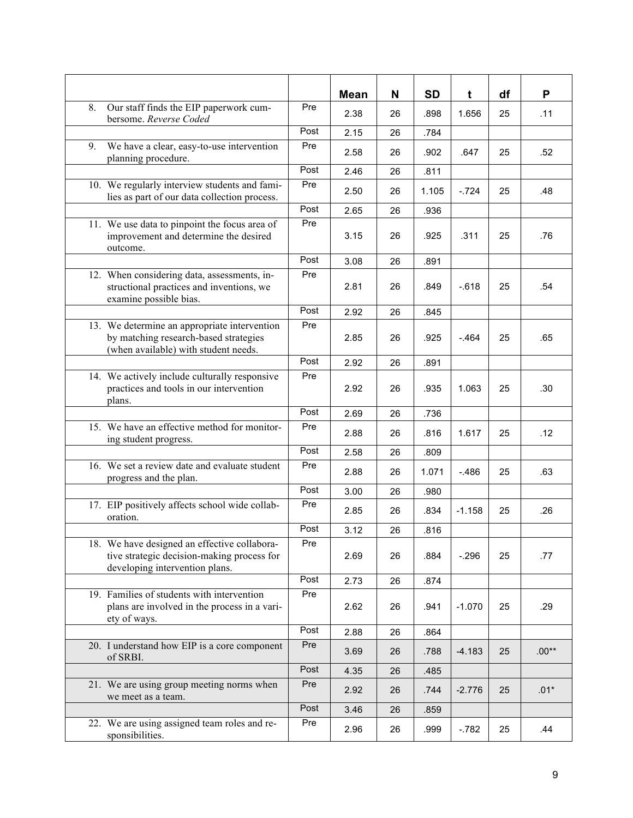|                                                                                                                               |      | <b>Mean</b> | N  | SD    | t        | df | P       |
|-------------------------------------------------------------------------------------------------------------------------------|------|-------------|----|-------|----------|----|---------|
| 8.<br>Our staff finds the EIP paperwork cum-<br>bersome. Reverse Coded                                                        | Pre  | 2.38        | 26 | .898  | 1.656    | 25 | .11     |
|                                                                                                                               | Post | 2.15        | 26 | .784  |          |    |         |
| We have a clear, easy-to-use intervention<br>9.<br>planning procedure.                                                        | Pre  | 2.58        | 26 | .902  | .647     | 25 | .52     |
|                                                                                                                               | Post | 2.46        | 26 | .811  |          |    |         |
| 10. We regularly interview students and fami-<br>lies as part of our data collection process.                                 | Pre  | 2.50        | 26 | 1.105 | $-724$   | 25 | .48     |
|                                                                                                                               | Post | 2.65        | 26 | .936  |          |    |         |
| 11. We use data to pinpoint the focus area of<br>improvement and determine the desired<br>outcome.                            | Pre  | 3.15        | 26 | .925  | .311     | 25 | .76     |
|                                                                                                                               | Post | 3.08        | 26 | .891  |          |    |         |
| 12. When considering data, assessments, in-<br>structional practices and inventions, we<br>examine possible bias.             | Pre  | 2.81        | 26 | .849  | $-.618$  | 25 | .54     |
|                                                                                                                               | Post | 2.92        | 26 | .845  |          |    |         |
| 13. We determine an appropriate intervention<br>by matching research-based strategies<br>(when available) with student needs. | Pre  | 2.85        | 26 | .925  | $-.464$  | 25 | .65     |
|                                                                                                                               | Post | 2.92        | 26 | .891  |          |    |         |
| 14. We actively include culturally responsive<br>practices and tools in our intervention<br>plans.                            | Pre  | 2.92        | 26 | .935  | 1.063    | 25 | .30     |
|                                                                                                                               | Post | 2.69        | 26 | .736  |          |    |         |
| 15. We have an effective method for monitor-<br>ing student progress.                                                         | Pre  | 2.88        | 26 | .816  | 1.617    | 25 | .12     |
|                                                                                                                               | Post | 2.58        | 26 | .809  |          |    |         |
| 16. We set a review date and evaluate student<br>progress and the plan.                                                       | Pre  | 2.88        | 26 | 1.071 | $-.486$  | 25 | .63     |
|                                                                                                                               | Post | 3.00        | 26 | .980  |          |    |         |
| 17. EIP positively affects school wide collab-<br>oration.                                                                    | Pre  | 2.85        | 26 | .834  | $-1.158$ | 25 | .26     |
|                                                                                                                               | Post | 3.12        | 26 | .816  |          |    |         |
| 18. We have designed an effective collabora-<br>tive strategic decision-making process for<br>developing intervention plans.  | Pre  | 2.69        | 26 | .884  | $-296$   | 25 | .77     |
|                                                                                                                               | Post | 2.73        | 26 | .874  |          |    |         |
| 19. Families of students with intervention<br>plans are involved in the process in a vari-<br>ety of ways.                    | Pre  | 2.62        | 26 | .941  | $-1.070$ | 25 | .29     |
|                                                                                                                               | Post | 2.88        | 26 | .864  |          |    |         |
| 20. I understand how EIP is a core component<br>of SRBI.                                                                      | Pre  | 3.69        | 26 | .788  | $-4.183$ | 25 | $.00**$ |
|                                                                                                                               | Post | 4.35        | 26 | .485  |          |    |         |
| 21. We are using group meeting norms when<br>we meet as a team.                                                               | Pre  | 2.92        | 26 | .744  | $-2.776$ | 25 | $.01*$  |
|                                                                                                                               | Post | 3.46        | 26 | .859  |          |    |         |
| 22. We are using assigned team roles and re-<br>sponsibilities.                                                               | Pre  | 2.96        | 26 | .999  | $-782$   | 25 | .44     |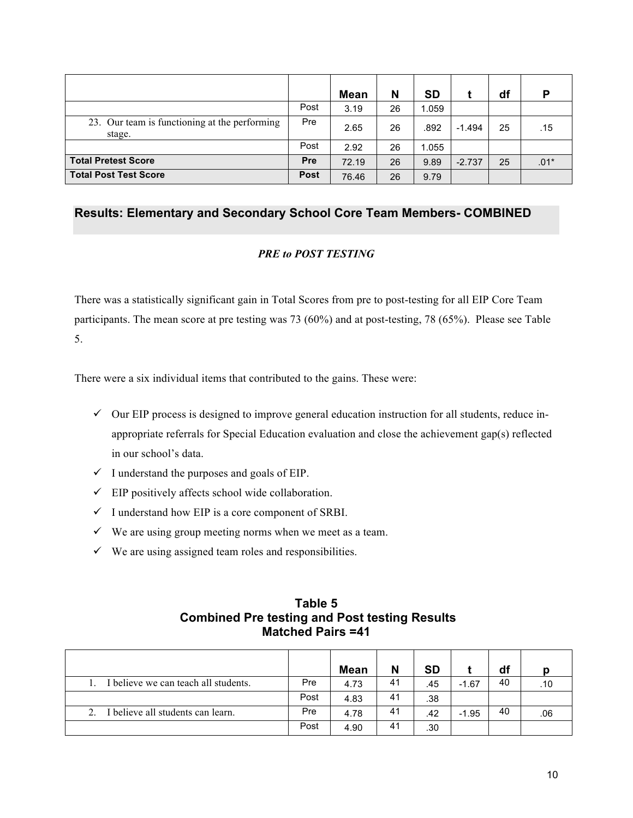|                                                         |             | <b>Mean</b> | N  | <b>SD</b> |          | df | D      |
|---------------------------------------------------------|-------------|-------------|----|-----------|----------|----|--------|
|                                                         | Post        | 3.19        | 26 | 1.059     |          |    |        |
| 23. Our team is functioning at the performing<br>stage. | Pre         | 2.65        | 26 | .892      | $-1.494$ | 25 | .15    |
|                                                         | Post        | 2.92        | 26 | 1.055     |          |    |        |
| <b>Total Pretest Score</b>                              | <b>Pre</b>  | 72.19       | 26 | 9.89      | $-2.737$ | 25 | $.01*$ |
| <b>Total Post Test Score</b>                            | <b>Post</b> | 76.46       | 26 | 9.79      |          |    |        |

### **Results: Elementary and Secondary School Core Team Members- COMBINED**

### *PRE to POST TESTING*

There was a statistically significant gain in Total Scores from pre to post-testing for all EIP Core Team participants. The mean score at pre testing was 73 (60%) and at post-testing, 78 (65%). Please see Table 5.

There were a six individual items that contributed to the gains. These were:

- $\checkmark$  Our EIP process is designed to improve general education instruction for all students, reduce inappropriate referrals for Special Education evaluation and close the achievement gap(s) reflected in our school's data.
- $\checkmark$  I understand the purposes and goals of EIP.
- $\checkmark$  EIP positively affects school wide collaboration.
- $\checkmark$  I understand how EIP is a core component of SRBI.
- $\checkmark$  We are using group meeting norms when we meet as a team.
- $\checkmark$  We are using assigned team roles and responsibilities.

|                                    |      | <b>Mean</b> | N  | <b>SD</b> |         | df |     |
|------------------------------------|------|-------------|----|-----------|---------|----|-----|
| believe we can teach all students. | Pre  | 4.73        | 41 | .45       | $-1.67$ | 40 | .10 |
|                                    | Post | 4.83        | 41 | .38       |         |    |     |
| believe all students can learn.    | Pre  | 4.78        | 41 | .42       | $-1.95$ | 40 | .06 |
|                                    | Post | 4.90        | 41 | .30       |         |    |     |

### **Table 5 Combined Pre testing and Post testing Results Matched Pairs =41**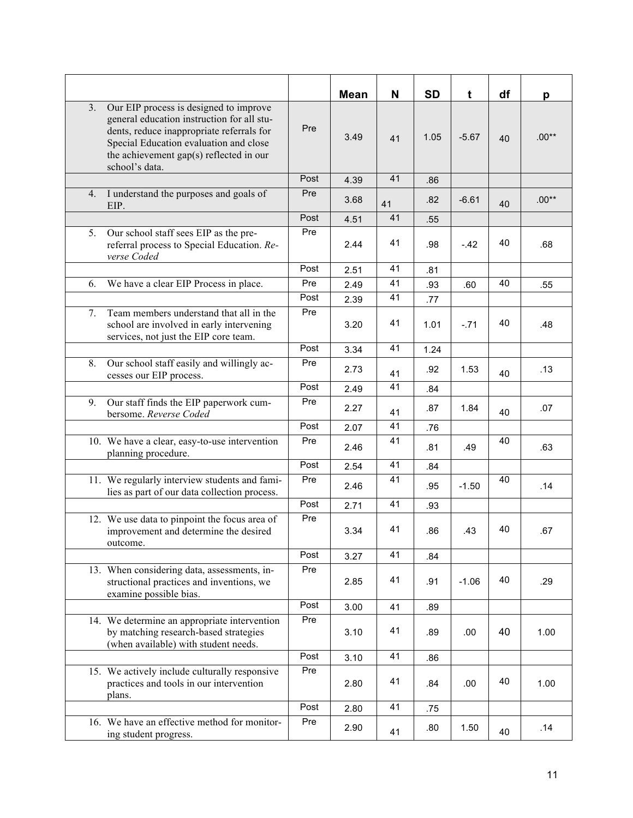|                                                                                                                                                                                                                                                |      | <b>Mean</b> | N  | <b>SD</b> | t       | df | р       |
|------------------------------------------------------------------------------------------------------------------------------------------------------------------------------------------------------------------------------------------------|------|-------------|----|-----------|---------|----|---------|
| 3.<br>Our EIP process is designed to improve<br>general education instruction for all stu-<br>dents, reduce inappropriate referrals for<br>Special Education evaluation and close<br>the achievement gap(s) reflected in our<br>school's data. | Pre  | 3.49        | 41 | 1.05      | $-5.67$ | 40 | $.00**$ |
|                                                                                                                                                                                                                                                | Post | 4.39        | 41 | .86       |         |    |         |
| I understand the purposes and goals of<br>4.<br>EIP.                                                                                                                                                                                           | Pre  | 3.68        | 41 | .82       | $-6.61$ | 40 | $.00**$ |
|                                                                                                                                                                                                                                                | Post | 4.51        | 41 | .55       |         |    |         |
| Our school staff sees EIP as the pre-<br>5.<br>referral process to Special Education. Re-<br>verse Coded                                                                                                                                       | Pre  | 2.44        | 41 | .98       | $-42$   | 40 | .68     |
|                                                                                                                                                                                                                                                | Post | 2.51        | 41 | .81       |         |    |         |
| We have a clear EIP Process in place.<br>6.                                                                                                                                                                                                    | Pre  | 2.49        | 41 | .93       | .60     | 40 | .55     |
|                                                                                                                                                                                                                                                | Post | 2.39        | 41 | .77       |         |    |         |
| Team members understand that all in the<br>7.<br>school are involved in early intervening<br>services, not just the EIP core team.                                                                                                             | Pre  | 3.20        | 41 | 1.01      | $-.71$  | 40 | .48     |
|                                                                                                                                                                                                                                                | Post | 3.34        | 41 | 1.24      |         |    |         |
| Our school staff easily and willingly ac-<br>8.<br>cesses our EIP process.                                                                                                                                                                     | Pre  | 2.73        | 41 | .92       | 1.53    | 40 | .13     |
|                                                                                                                                                                                                                                                | Post | 2.49        | 41 | .84       |         |    |         |
| 9.<br>Our staff finds the EIP paperwork cum-<br>bersome. Reverse Coded                                                                                                                                                                         | Pre  | 2.27        | 41 | .87       | 1.84    | 40 | .07     |
|                                                                                                                                                                                                                                                | Post | 2.07        | 41 | .76       |         |    |         |
| 10. We have a clear, easy-to-use intervention<br>planning procedure.                                                                                                                                                                           | Pre  | 2.46        | 41 | .81       | .49     | 40 | .63     |
|                                                                                                                                                                                                                                                | Post | 2.54        | 41 | .84       |         |    |         |
| 11. We regularly interview students and fami-<br>lies as part of our data collection process.                                                                                                                                                  | Pre  | 2.46        | 41 | .95       | $-1.50$ | 40 | .14     |
|                                                                                                                                                                                                                                                | Post | 2.71        | 41 | .93       |         |    |         |
| 12. We use data to pinpoint the focus area of<br>improvement and determine the desired<br>outcome.                                                                                                                                             | Pre  | 3.34        | 41 | .86       | .43     | 40 | .67     |
|                                                                                                                                                                                                                                                | Post | 3.27        | 41 | .84       |         |    |         |
| 13. When considering data, assessments, in-<br>structional practices and inventions, we<br>examine possible bias.                                                                                                                              | Pre  | 2.85        | 41 | .91       | $-1.06$ | 40 | .29     |
|                                                                                                                                                                                                                                                | Post | 3.00        | 41 | .89       |         |    |         |
| 14. We determine an appropriate intervention<br>by matching research-based strategies<br>(when available) with student needs.                                                                                                                  | Pre  | 3.10        | 41 | .89       | .00     | 40 | 1.00    |
|                                                                                                                                                                                                                                                | Post | 3.10        | 41 | .86       |         |    |         |
| 15. We actively include culturally responsive<br>practices and tools in our intervention<br>plans.                                                                                                                                             | Pre  | 2.80        | 41 | .84       | .00     | 40 | 1.00    |
|                                                                                                                                                                                                                                                | Post | 2.80        | 41 | .75       |         |    |         |
| 16. We have an effective method for monitor-<br>ing student progress.                                                                                                                                                                          | Pre  | 2.90        | 41 | .80       | 1.50    | 40 | .14     |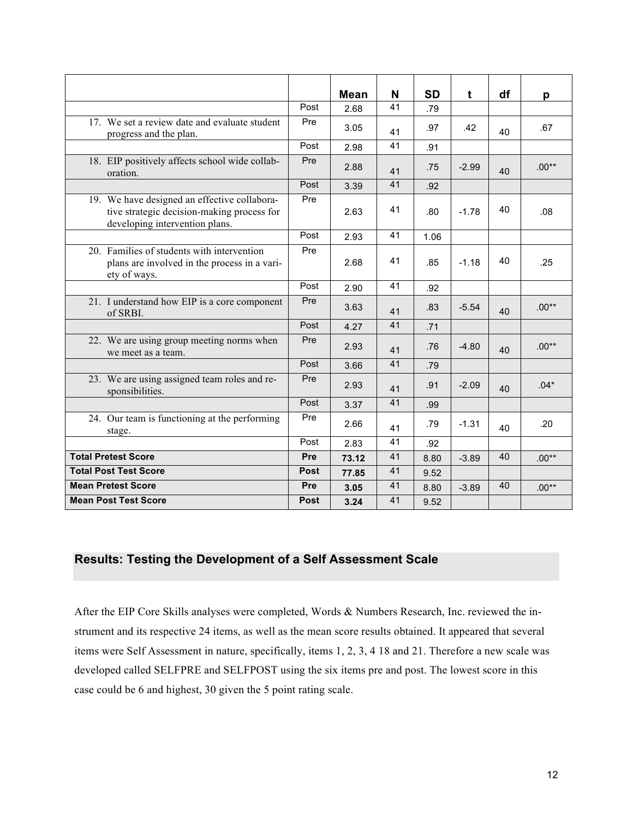|                                                                                                                              |             | <b>Mean</b> | N  | <b>SD</b> | t       | df | p       |
|------------------------------------------------------------------------------------------------------------------------------|-------------|-------------|----|-----------|---------|----|---------|
|                                                                                                                              | Post        | 2.68        | 41 | .79       |         |    |         |
| 17. We set a review date and evaluate student<br>progress and the plan.                                                      | Pre         | 3.05        | 41 | .97       | .42     | 40 | .67     |
|                                                                                                                              | Post        | 2.98        | 41 | .91       |         |    |         |
| 18. EIP positively affects school wide collab-<br>oration.                                                                   | Pre         | 2.88        | 41 | .75       | $-2.99$ | 40 | $.00**$ |
|                                                                                                                              | Post        | 3.39        | 41 | .92       |         |    |         |
| 19. We have designed an effective collabora-<br>tive strategic decision-making process for<br>developing intervention plans. | Pre         | 2.63        | 41 | .80       | $-1.78$ | 40 | .08     |
|                                                                                                                              | Post        | 2.93        | 41 | 1.06      |         |    |         |
| 20. Families of students with intervention<br>plans are involved in the process in a vari-<br>ety of ways.                   | Pre         | 2.68        | 41 | .85       | $-1.18$ | 40 | .25     |
|                                                                                                                              | Post        | 2.90        | 41 | .92       |         |    |         |
| 21. I understand how EIP is a core component<br>of SRBI.                                                                     | Pre         | 3.63        | 41 | .83       | $-5.54$ | 40 | $.00**$ |
|                                                                                                                              | Post        | 4.27        | 41 | .71       |         |    |         |
| 22. We are using group meeting norms when<br>we meet as a team.                                                              | Pre         | 2.93        | 41 | .76       | $-4.80$ | 40 | $.00**$ |
|                                                                                                                              | Post        | 3.66        | 41 | .79       |         |    |         |
| 23. We are using assigned team roles and re-<br>sponsibilities.                                                              | Pre         | 2.93        | 41 | .91       | $-2.09$ | 40 | $.04*$  |
|                                                                                                                              | Post        | 3.37        | 41 | .99       |         |    |         |
| 24. Our team is functioning at the performing<br>stage.                                                                      | Pre         | 2.66        | 41 | .79       | $-1.31$ | 40 | .20     |
|                                                                                                                              | Post        | 2.83        | 41 | .92       |         |    |         |
| <b>Total Pretest Score</b>                                                                                                   | Pre         | 73.12       | 41 | 8.80      | $-3.89$ | 40 | $.00**$ |
| <b>Total Post Test Score</b>                                                                                                 | <b>Post</b> | 77.85       | 41 | 9.52      |         |    |         |
| <b>Mean Pretest Score</b>                                                                                                    | Pre         | 3.05        | 41 | 8.80      | $-3.89$ | 40 | $.00**$ |
| <b>Mean Post Test Score</b>                                                                                                  | <b>Post</b> | 3.24        | 41 | 9.52      |         |    |         |

### **Results: Testing the Development of a Self Assessment Scale**

After the EIP Core Skills analyses were completed, Words & Numbers Research, Inc. reviewed the instrument and its respective 24 items, as well as the mean score results obtained. It appeared that several items were Self Assessment in nature, specifically, items 1, 2, 3, 4 18 and 21. Therefore a new scale was developed called SELFPRE and SELFPOST using the six items pre and post. The lowest score in this case could be 6 and highest, 30 given the 5 point rating scale.